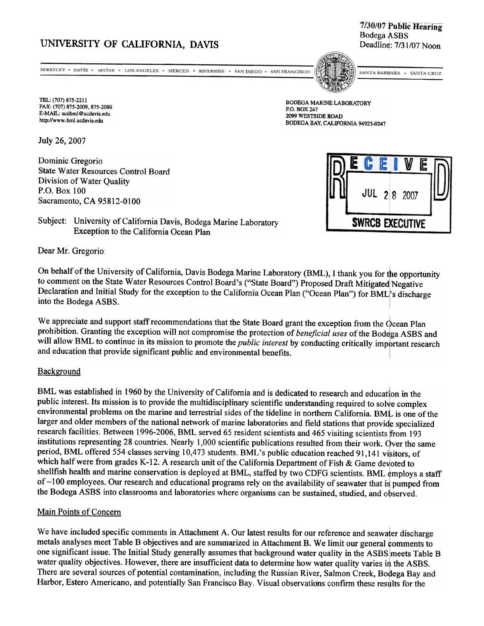# UNIVERSITY OF CALIFORNIA, DAVIS Deadline: 7/31/07 Noon

7/30/07 Public Hearing Bodega ASBS

NERKELEY - DAVIS - (RVINE - LOS ANGELES - MERCED - RIVERSIDE - SAN DIEGO - SAN FRANCISCO

TEL: (707) 875-2211 FAX: (707) 875-2009, 875-2089 E-MAIL: ucdbml@ucdavis.edu http://www.bm1.ucdavis.edu

July 26, 2007

Dominic Gregorio State Water Resources Control Board Division of Water Quality P.O. Box 100 Sacramento, CA 95812-0100



SANTA BARBARA · SANTA CRUZ

BODEGA MARINE LABORATORY P.O. BOX 247 2099 WESTSIDE ROAD BODEGA BAY. CALIFORNIA 94923.0247



Subject: University of California Davis, Bodega Marine Laboratory **SWRCB EXECUTIVE** Exception to the California Ocean Plan

Dear Mr. Gregorio

On behalf of the University of California, Davis Bodega Marine Laboratory (BML), I thank you for the opportunity to comment on the State Water Resources Control Board's ("State Board") Proposed Draft Mitigated Negative Declaration and Initial Study for the exception to the California Ocean Plan ("Ocean Plan") for BML's discharge into the Bodega ASBS.

We appreciate and support staff recommendations that the State Board grant the exception from the  $\dot{\mathrm{Q}}$ cean I prohibition. Granting the exception will not compromise the protection of *beneficial uses* of the Bodega ASBS and will allow BML to continue in its mission to promote the *public interest* by conducting critically important research and education that provide significant public and environmental benefits.

### Background

BML was established in 1960 by the University of California and is dedicated to research and education in the public interest. Its mission is to provide the multidisciplinary scientific understanding required to solve complex environmental problems on the marine and terrestrial sides of the tideline in northern California. BML is one of the larger and older members of the national network of marine laboratories and field stations that provide specialized research facilities. Between 1996-2006, BML served 65 resident scientists and 465 visiting scientists from 193 institutions representing 28 countries. Nearly 1,000 scientific publications resulted from their work. Over the same period, BML offered 554 classes serving 10,473 students. BML's public education reached 91,141 visitors, of which half were from grades K-12. A research unit of the California Department of Fish  $\&$  Game devoted to shellfish health and marine conservation is deployed at BML, staffed by two CDFG scientists. BML employs a staff of  $\sim$ 100 employees. Our research and educational programs rely on the availability of seawater that is pumped from the Bodega ASBS into classrooms and laboratories where organisms can be sustained, studied, and observed.

### Main Points of Concern

We have included specific comments in Attachment A. Our latest results for our reference and seawater discharge metals analyses meet Table B objectives and are summarized in Attachment B. We limit our general comments to one significant issue. The Initial Study generally assumes that background water quality in the ASBS meets Table B water quality objectives. However, there are insufficient data to determine how water quality varies in the ASBS. There are several sources of potential contamination, including the Russian River, Salmon Creek, Bodega Bay and Harbor, Estero Americano, and potentially San Francisco Bay. Visual observations confirm these results for the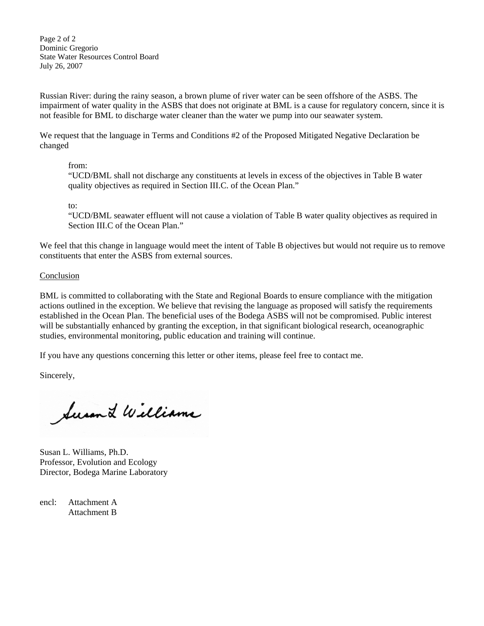Page 2 of 2 Dominic Gregorio State Water Resources Control Board July 26, 2007

Russian River: during the rainy season, a brown plume of river water can be seen offshore of the ASBS. The impairment of water quality in the ASBS that does not originate at BML is a cause for regulatory concern, since it is not feasible for BML to discharge water cleaner than the water we pump into our seawater system.

We request that the language in Terms and Conditions #2 of the Proposed Mitigated Negative Declaration be changed

# from:

"UCD/BML shall not discharge any constituents at levels in excess of the objectives in Table B water quality objectives as required in Section III.C. of the Ocean Plan."

to:

"UCD/BML seawater effluent will not cause a violation of Table B water quality objectives as required in Section III.C of the Ocean Plan."

We feel that this change in language would meet the intent of Table B objectives but would not require us to remove constituents that enter the ASBS from external sources.

# Conclusion

BML is committed to collaborating with the State and Regional Boards to ensure compliance with the mitigation actions outlined in the exception. We believe that revising the language as proposed will satisfy the requirements established in the Ocean Plan. The beneficial uses of the Bodega ASBS will not be compromised. Public interest will be substantially enhanced by granting the exception, in that significant biological research, oceanographic studies, environmental monitoring, public education and training will continue.

If you have any questions concerning this letter or other items, please feel free to contact me.

Sincerely,

Susan L Williams

Susan L. Williams, Ph.D. Professor, Evolution and Ecology Director, Bodega Marine Laboratory

encl: Attachment A Attachment B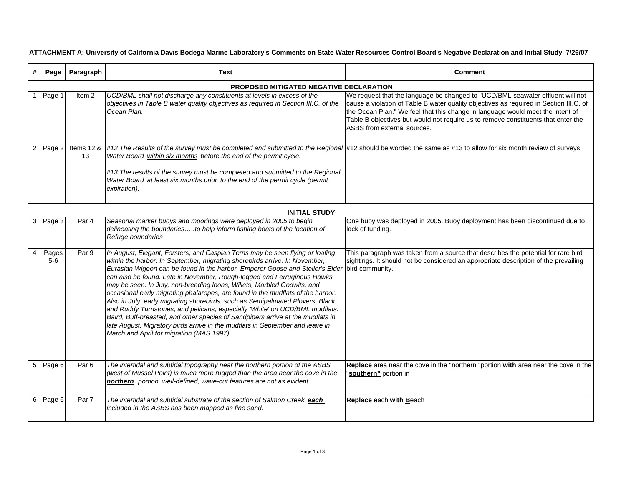**ATTACHMENT A: University of California Davis Bodega Marine Laboratory's Comments on State Water Resources Control Board's Negative Declaration and Initial Study 7/26/07**

|                | Page                                    | Paragraph         | Text                                                                                                                                                                                                                                                                                                                                                                                                                                                                                                                                                                                                                                                                                                                                                                                                                                                                                   | <b>Comment</b>                                                                                                                                                                                                                                                                                                                                                                 |  |  |  |  |  |
|----------------|-----------------------------------------|-------------------|----------------------------------------------------------------------------------------------------------------------------------------------------------------------------------------------------------------------------------------------------------------------------------------------------------------------------------------------------------------------------------------------------------------------------------------------------------------------------------------------------------------------------------------------------------------------------------------------------------------------------------------------------------------------------------------------------------------------------------------------------------------------------------------------------------------------------------------------------------------------------------------|--------------------------------------------------------------------------------------------------------------------------------------------------------------------------------------------------------------------------------------------------------------------------------------------------------------------------------------------------------------------------------|--|--|--|--|--|
|                | PROPOSED MITIGATED NEGATIVE DECLARATION |                   |                                                                                                                                                                                                                                                                                                                                                                                                                                                                                                                                                                                                                                                                                                                                                                                                                                                                                        |                                                                                                                                                                                                                                                                                                                                                                                |  |  |  |  |  |
|                | 1 Page 1                                | Item <sub>2</sub> | UCD/BML shall not discharge any constituents at levels in excess of the<br>objectives in Table B water quality objectives as required in Section III.C. of the<br>Ocean Plan.                                                                                                                                                                                                                                                                                                                                                                                                                                                                                                                                                                                                                                                                                                          | We request that the language be changed to "UCD/BML seawater effluent will not<br>cause a violation of Table B water quality objectives as required in Section III.C. of<br>the Ocean Plan." We feel that this change in language would meet the intent of<br>Table B objectives but would not require us to remove constituents that enter the<br>ASBS from external sources. |  |  |  |  |  |
|                | 2 Page 2                                | 13                | Items 12 & #12 The Results of the survey must be completed and submitted to the Regional #12 should be worded the same as #13 to allow for six month review of surveys<br>Water Board within six months before the end of the permit cycle.<br>#13 The results of the survey must be completed and submitted to the Regional<br>Water Board at least six months prior to the end of the permit cycle (permit<br>expiration).                                                                                                                                                                                                                                                                                                                                                                                                                                                           |                                                                                                                                                                                                                                                                                                                                                                                |  |  |  |  |  |
|                | <b>INITIAL STUDY</b>                    |                   |                                                                                                                                                                                                                                                                                                                                                                                                                                                                                                                                                                                                                                                                                                                                                                                                                                                                                        |                                                                                                                                                                                                                                                                                                                                                                                |  |  |  |  |  |
|                | 3 Page 3                                | Par 4             | Seasonal marker buoys and moorings were deployed in 2005 to begin<br>delineating the boundariesto help inform fishing boats of the location of<br>Refuge boundaries                                                                                                                                                                                                                                                                                                                                                                                                                                                                                                                                                                                                                                                                                                                    | One buoy was deployed in 2005. Buoy deployment has been discontinued due to<br>lack of funding.                                                                                                                                                                                                                                                                                |  |  |  |  |  |
| $\overline{4}$ | Pages<br>$5-6$                          | Par 9             | In August, Elegant, Forsters, and Caspian Terns may be seen flying or loafing<br>within the harbor. In September, migrating shorebirds arrive. In November,<br>Eurasian Wigeon can be found in the harbor. Emperor Goose and Steller's Eider bird community.<br>can also be found. Late in November, Rough-legged and Ferruginous Hawks<br>may be seen. In July, non-breeding loons, Willets, Marbled Godwits, and<br>occasional early migrating phalaropes, are found in the mudflats of the harbor.<br>Also in July, early migrating shorebirds, such as Semipalmated Plovers, Black<br>and Ruddy Turnstones, and pelicans, especially 'White' on UCD/BML mudflats.<br>Baird, Buff-breasted, and other species of Sandpipers arrive at the mudflats in<br>late August. Migratory birds arrive in the mudflats in September and leave in<br>March and April for migration (MAS 1997). | This paragraph was taken from a source that describes the potential for rare bird<br>sightings. It should not be considered an appropriate description of the prevailing                                                                                                                                                                                                       |  |  |  |  |  |
|                | 5 Page 6                                | Par <sub>6</sub>  | The intertidal and subtidal topography near the northern portion of the ASBS<br>(west of Mussel Point) is much more rugged than the area near the cove in the<br>northern portion, well-defined, wave-cut features are not as evident.                                                                                                                                                                                                                                                                                                                                                                                                                                                                                                                                                                                                                                                 | Replace area near the cove in the "northern" portion with area near the cove in the<br>"southern" portion in                                                                                                                                                                                                                                                                   |  |  |  |  |  |
|                | 6 Page 6                                | Par 7             | The intertidal and subtidal substrate of the section of Salmon Creek each<br>included in the ASBS has been mapped as fine sand.                                                                                                                                                                                                                                                                                                                                                                                                                                                                                                                                                                                                                                                                                                                                                        | Replace each with Beach                                                                                                                                                                                                                                                                                                                                                        |  |  |  |  |  |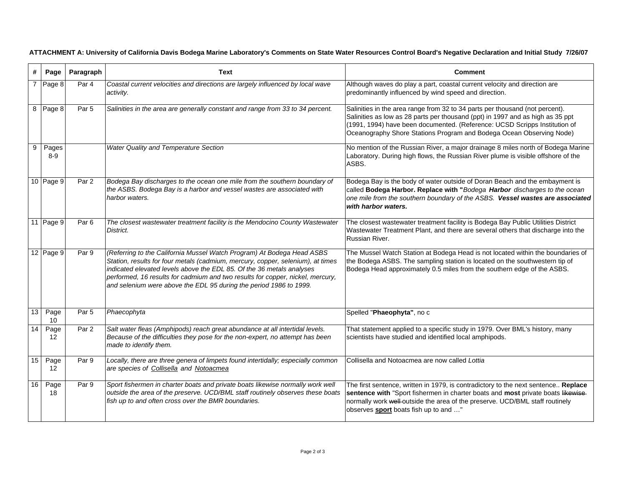| #               | Page                      | Paragraph          | Text                                                                                                                                                                                                                                                                                                                                                                                       | <b>Comment</b>                                                                                                                                                                                                                                                                                                       |
|-----------------|---------------------------|--------------------|--------------------------------------------------------------------------------------------------------------------------------------------------------------------------------------------------------------------------------------------------------------------------------------------------------------------------------------------------------------------------------------------|----------------------------------------------------------------------------------------------------------------------------------------------------------------------------------------------------------------------------------------------------------------------------------------------------------------------|
|                 | Page 8                    | $\overline{Par}$ 4 | Coastal current velocities and directions are largely influenced by local wave<br>activity.                                                                                                                                                                                                                                                                                                | Although waves do play a part, coastal current velocity and direction are<br>predominantly influenced by wind speed and direction.                                                                                                                                                                                   |
| 8               | Page 8                    | Par <sub>5</sub>   | Salinities in the area are generally constant and range from 33 to 34 percent.                                                                                                                                                                                                                                                                                                             | Salinities in the area range from 32 to 34 parts per thousand (not percent).<br>Salinities as low as 28 parts per thousand (ppt) in 1997 and as high as 35 ppt<br>(1991, 1994) have been documented. (Reference: UCSD Scripps Institution of<br>Oceanography Shore Stations Program and Bodega Ocean Observing Node) |
| 9               | Pages<br>$8-9$            |                    | <b>Water Quality and Temperature Section</b>                                                                                                                                                                                                                                                                                                                                               | No mention of the Russian River, a major drainage 8 miles north of Bodega Marine<br>Laboratory. During high flows, the Russian River plume is visible offshore of the<br>ASBS.                                                                                                                                       |
|                 | 10 Page 9                 | Par 2              | Bodega Bay discharges to the ocean one mile from the southern boundary of<br>the ASBS. Bodega Bay is a harbor and vessel wastes are associated with<br>harbor waters.                                                                                                                                                                                                                      | Bodega Bay is the body of water outside of Doran Beach and the embayment is<br>called Bodega Harbor. Replace with "Bodega Harbor discharges to the ocean<br>one mile from the southern boundary of the ASBS. Vessel wastes are associated<br>with harbor waters.                                                     |
|                 | 11 Page 9                 | Par <sub>6</sub>   | The closest wastewater treatment facility is the Mendocino County Wastewater<br>District.                                                                                                                                                                                                                                                                                                  | The closest wastewater treatment facility is Bodega Bay Public Utilities District<br>Wastewater Treatment Plant, and there are several others that discharge into the<br>Russian River.                                                                                                                              |
|                 | $12$ Page 9               | Par 9              | (Referring to the California Mussel Watch Program) At Bodega Head ASBS<br>Station, results for four metals (cadmium, mercury, copper, selenium), at times<br>indicated elevated levels above the EDL 85. Of the 36 metals analyses<br>performed, 16 results for cadmium and two results for copper, nickel, mercury,<br>and selenium were above the EDL 95 during the period 1986 to 1999. | The Mussel Watch Station at Bodega Head is not located within the boundaries of<br>the Bodega ASBS. The sampling station is located on the southwestern tip of<br>Bodega Head approximately 0.5 miles from the southern edge of the ASBS.                                                                            |
| 13              | Page<br>10 <sup>1</sup>   | Par <sub>5</sub>   | Phaecophyta                                                                                                                                                                                                                                                                                                                                                                                | Spelled "Phaeophyta", no c                                                                                                                                                                                                                                                                                           |
| $\overline{14}$ | Page<br>$12 \overline{ }$ | Par <sub>2</sub>   | Salt water fleas (Amphipods) reach great abundance at all intertidal levels.<br>Because of the difficulties they pose for the non-expert, no attempt has been<br>made to identify them.                                                                                                                                                                                                    | That statement applied to a specific study in 1979. Over BML's history, many<br>scientists have studied and identified local amphipods.                                                                                                                                                                              |
| 15              | Page<br>12 <sup>2</sup>   | Par 9              | Locally, there are three genera of limpets found intertidally; especially common<br>are species of Collisella and Notoacmea                                                                                                                                                                                                                                                                | Collisella and Notoacmea are now called Lottia                                                                                                                                                                                                                                                                       |
| 16              | Page<br>18                | Par 9              | Sport fishermen in charter boats and private boats likewise normally work well<br>outside the area of the preserve. UCD/BML staff routinely observes these boats<br>fish up to and often cross over the BMR boundaries.                                                                                                                                                                    | The first sentence, written in 1979, is contradictory to the next sentence Replace<br>sentence with "Sport fishermen in charter boats and most private boats likewise-<br>normally work well-outside the area of the preserve. UCD/BML staff routinely<br>observes <b>sport</b> boats fish up to and "               |

**ATTACHMENT A: University of California Davis Bodega Marine Laboratory's Comments on State Water Resources Control Board's Negative Declaration and Initial Study 7/26/07**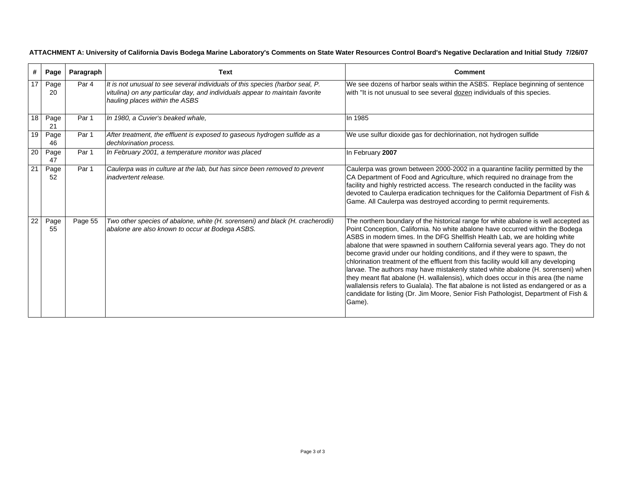| #               | Page       | Paragraph        | Text                                                                                                                                                                                            | Comment                                                                                                                                                                                                                                                                                                                                                                                                                                                                                                                                                                                                                                                                                                                                                                                                                                                                        |  |  |  |  |
|-----------------|------------|------------------|-------------------------------------------------------------------------------------------------------------------------------------------------------------------------------------------------|--------------------------------------------------------------------------------------------------------------------------------------------------------------------------------------------------------------------------------------------------------------------------------------------------------------------------------------------------------------------------------------------------------------------------------------------------------------------------------------------------------------------------------------------------------------------------------------------------------------------------------------------------------------------------------------------------------------------------------------------------------------------------------------------------------------------------------------------------------------------------------|--|--|--|--|
| 17              | Page<br>20 | Par <sub>4</sub> | It is not unusual to see several individuals of this species (harbor seal, P.<br>vitulina) on any particular day, and individuals appear to maintain favorite<br>hauling places within the ASBS | We see dozens of harbor seals within the ASBS. Replace beginning of sentence<br>with "It is not unusual to see several dozen individuals of this species.                                                                                                                                                                                                                                                                                                                                                                                                                                                                                                                                                                                                                                                                                                                      |  |  |  |  |
| 18 <sup>1</sup> | Page<br>21 | Par 1            | In 1980, a Cuvier's beaked whale,                                                                                                                                                               | In 1985                                                                                                                                                                                                                                                                                                                                                                                                                                                                                                                                                                                                                                                                                                                                                                                                                                                                        |  |  |  |  |
| 19              | Page<br>46 | Par 1            | After treatment, the effluent is exposed to gaseous hydrogen sulfide as a<br>dechlorination process.                                                                                            | We use sulfur dioxide gas for dechlorination, not hydrogen sulfide                                                                                                                                                                                                                                                                                                                                                                                                                                                                                                                                                                                                                                                                                                                                                                                                             |  |  |  |  |
| 20              | Page<br>47 | Par 1            | In February 2001, a temperature monitor was placed                                                                                                                                              | In February 2007                                                                                                                                                                                                                                                                                                                                                                                                                                                                                                                                                                                                                                                                                                                                                                                                                                                               |  |  |  |  |
| 21              | Page<br>52 | Par 1            | Caulerpa was in culture at the lab, but has since been removed to prevent<br>inadvertent release.                                                                                               | Caulerpa was grown between 2000-2002 in a quarantine facility permitted by the<br>CA Department of Food and Agriculture, which required no drainage from the<br>facility and highly restricted access. The research conducted in the facility was<br>devoted to Caulerpa eradication techniques for the California Department of Fish &<br>Game. All Caulerpa was destroyed according to permit requirements.                                                                                                                                                                                                                                                                                                                                                                                                                                                                  |  |  |  |  |
| 22              | Page<br>55 | Page 55          | Two other species of abalone, white (H. sorenseni) and black (H. cracherodii)<br>abalone are also known to occur at Bodega ASBS.                                                                | The northern boundary of the historical range for white abalone is well accepted as<br>Point Conception, California. No white abalone have occurred within the Bodega<br>ASBS in modern times. In the DFG Shellfish Health Lab, we are holding white<br>abalone that were spawned in southern California several years ago. They do not<br>become gravid under our holding conditions, and if they were to spawn, the<br>chlorination treatment of the effluent from this facility would kill any developing<br>larvae. The authors may have mistakenly stated white abalone (H. sorenseni) when<br>they meant flat abalone (H. wallalensis), which does occur in this area (the name<br>wallalensis refers to Gualala). The flat abalone is not listed as endangered or as a<br>candidate for listing (Dr. Jim Moore, Senior Fish Pathologist, Department of Fish &<br>Game). |  |  |  |  |

**ATTACHMENT A: University of California Davis Bodega Marine Laboratory's Comments on State Water Resources Control Board's Negative Declaration and Initial Study 7/26/07**